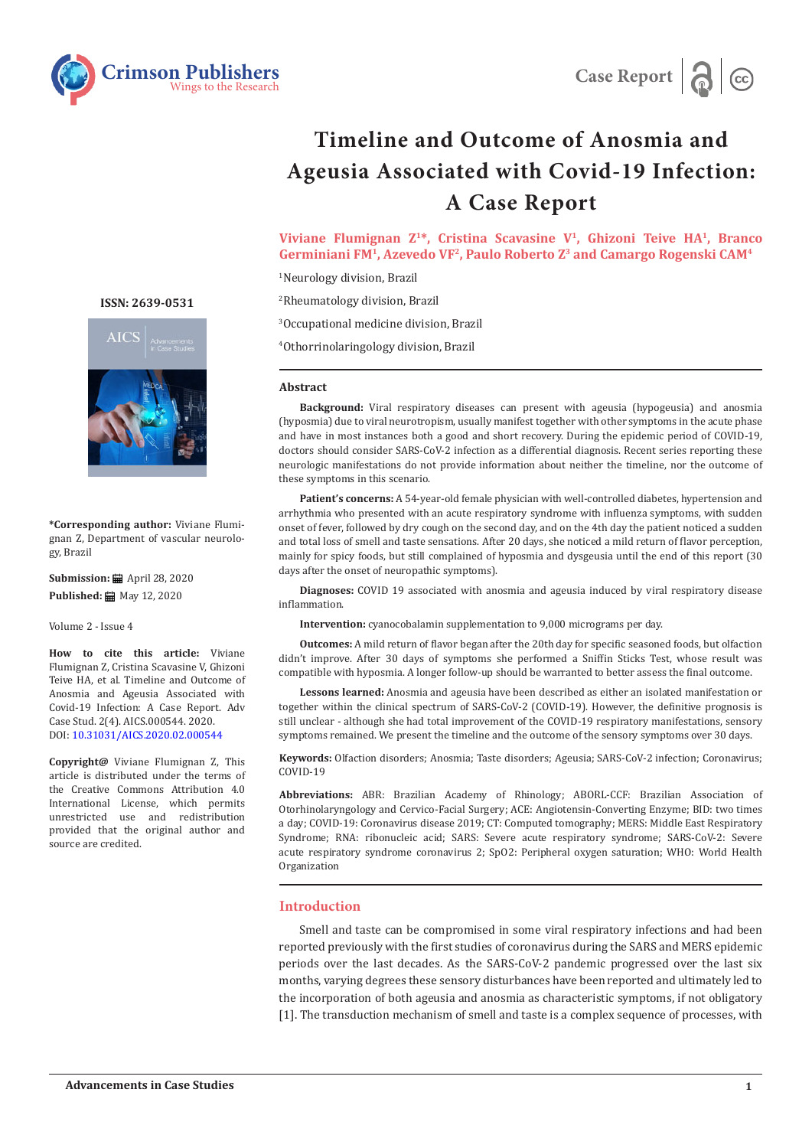



# **Timeline and Outcome of Anosmia and Ageusia Associated with Covid-19 Infection: A Case Report**

**Viviane Flumignan Z1\*, Cristina Scavasine V1, Ghizoni Teive HA1, Branco Germiniani FM1, Azevedo VF2, Paulo Roberto Z3 and Camargo Rogenski CAM4**

1 Neurology division, Brazil

2 Rheumatology division, Brazil 3 Occupational medicine division, Brazil 4 Othorrinolaringology division, Brazil

#### **Abstract**

**Background:** Viral respiratory diseases can present with ageusia (hypogeusia) and anosmia (hyposmia) due to viral neurotropism, usually manifest together with other symptoms in the acute phase and have in most instances both a good and short recovery. During the epidemic period of COVID-19, doctors should consider SARS-CoV-2 infection as a differential diagnosis. Recent series reporting these neurologic manifestations do not provide information about neither the timeline, nor the outcome of these symptoms in this scenario.

**Patient's concerns:** A 54-year-old female physician with well-controlled diabetes, hypertension and arrhythmia who presented with an acute respiratory syndrome with influenza symptoms, with sudden onset of fever, followed by dry cough on the second day, and on the 4th day the patient noticed a sudden and total loss of smell and taste sensations. After 20 days, she noticed a mild return of flavor perception, mainly for spicy foods, but still complained of hyposmia and dysgeusia until the end of this report (30 days after the onset of neuropathic symptoms).

**Diagnoses:** COVID 19 associated with anosmia and ageusia induced by viral respiratory disease inflammation.

**Intervention:** cyanocobalamin supplementation to 9,000 micrograms per day.

**Outcomes:** A mild return of flavor began after the 20th day for specific seasoned foods, but olfaction didn't improve. After 30 days of symptoms she performed a Sniffin Sticks Test, whose result was compatible with hyposmia. A longer follow-up should be warranted to better assess the final outcome.

**Lessons learned:** Anosmia and ageusia have been described as either an isolated manifestation or together within the clinical spectrum of SARS-CoV-2 (COVID-19). However, the definitive prognosis is still unclear - although she had total improvement of the COVID-19 respiratory manifestations, sensory symptoms remained. We present the timeline and the outcome of the sensory symptoms over 30 days.

**Keywords:** Olfaction disorders; Anosmia; Taste disorders; Ageusia; SARS-CoV-2 infection; Coronavirus; COVID-19

**Abbreviations:** ABR: Brazilian Academy of Rhinology; ABORL-CCF: Brazilian Association of Otorhinolaryngology and Cervico-Facial Surgery; ACE: Angiotensin-Converting Enzyme; BID: two times a day; COVID-19: Coronavirus disease 2019; CT: Computed tomography; MERS: Middle East Respiratory Syndrome; RNA: ribonucleic acid; SARS: Severe acute respiratory syndrome; SARS-CoV-2: Severe acute respiratory syndrome coronavirus 2; SpO2: Peripheral oxygen saturation; WHO: World Health Organization

### **Introduction**

Smell and taste can be compromised in some viral respiratory infections and had been reported previously with the first studies of coronavirus during the SARS and MERS epidemic periods over the last decades. As the SARS-CoV-2 pandemic progressed over the last six months, varying degrees these sensory disturbances have been reported and ultimately led to the incorporation of both ageusia and anosmia as characteristic symptoms, if not obligatory [1]. The transduction mechanism of smell and taste is a complex sequence of processes, with

**ISSN: 2639-0531**



**\*Corresponding author:** Viviane Flumignan Z, Department of vascular neurology, Brazil

**Submission:** April 28, 2020 **Published:** ■ May 12, 2020

Volume 2 - Issue 4

**How to cite this article:** Viviane Flumignan Z, Cristina Scavasine V, Ghizoni Teive HA, et al. Timeline and Outcome of Anosmia and Ageusia Associated with Covid-19 Infection: A Case Report. Adv Case Stud. 2(4). AICS.000544. 2020. DOI: [10.31031/AICS.2020.02.00054](http://dx.doi.org/10.31031/AICS.2020.02.000544)4

**Copyright@** Viviane Flumignan Z, This article is distributed under the terms of the Creative Commons Attribution 4.0 International License, which permits unrestricted use and redistribution provided that the original author and source are credited.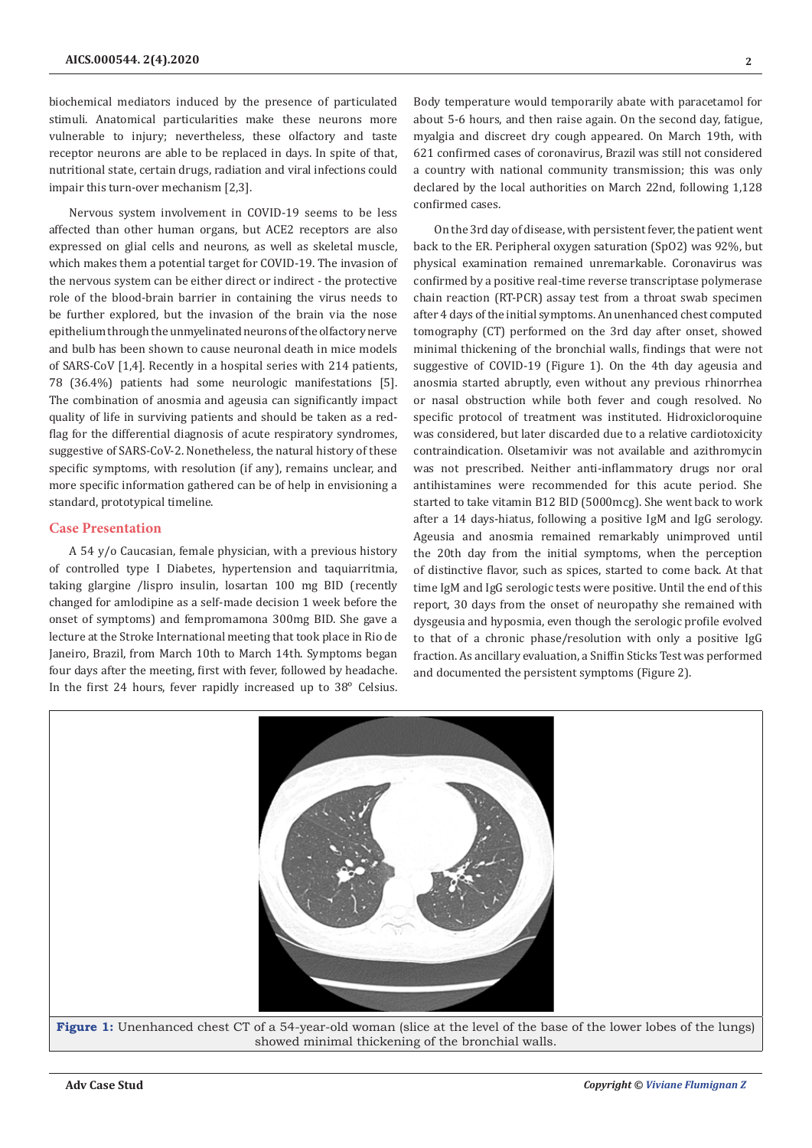biochemical mediators induced by the presence of particulated stimuli. Anatomical particularities make these neurons more vulnerable to injury; nevertheless, these olfactory and taste receptor neurons are able to be replaced in days. In spite of that, nutritional state, certain drugs, radiation and viral infections could impair this turn-over mechanism [2,3].

Nervous system involvement in COVID-19 seems to be less affected than other human organs, but ACE2 receptors are also expressed on glial cells and neurons, as well as skeletal muscle, which makes them a potential target for COVID-19. The invasion of the nervous system can be either direct or indirect - the protective role of the blood-brain barrier in containing the virus needs to be further explored, but the invasion of the brain via the nose epithelium through the unmyelinated neurons of the olfactory nerve and bulb has been shown to cause neuronal death in mice models of SARS-CoV [1,4]. Recently in a hospital series with 214 patients, 78 (36.4%) patients had some neurologic manifestations [5]. The combination of anosmia and ageusia can significantly impact quality of life in surviving patients and should be taken as a redflag for the differential diagnosis of acute respiratory syndromes, suggestive of SARS-CoV-2. Nonetheless, the natural history of these specific symptoms, with resolution (if any), remains unclear, and more specific information gathered can be of help in envisioning a standard, prototypical timeline.

# **Case Presentation**

A 54 y/o Caucasian, female physician, with a previous history of controlled type I Diabetes, hypertension and taquiarritmia, taking glargine /lispro insulin, losartan 100 mg BID (recently changed for amlodipine as a self-made decision 1 week before the onset of symptoms) and fempromamona 300mg BID. She gave a lecture at the Stroke International meeting that took place in Rio de Janeiro, Brazil, from March 10th to March 14th. Symptoms began four days after the meeting, first with fever, followed by headache. In the first 24 hours, fever rapidly increased up to 38° Celsius.

Body temperature would temporarily abate with paracetamol for about 5-6 hours, and then raise again. On the second day, fatigue, myalgia and discreet dry cough appeared. On March 19th, with 621 confirmed cases of coronavirus, Brazil was still not considered a country with national community transmission; this was only declared by the local authorities on March 22nd, following 1,128 confirmed cases.

On the 3rd day of disease, with persistent fever, the patient went back to the ER. Peripheral oxygen saturation (SpO2) was 92%, but physical examination remained unremarkable. Coronavirus was confirmed by a positive real-time reverse transcriptase polymerase chain reaction (RT-PCR) assay test from a throat swab specimen after 4 days of the initial symptoms. An unenhanced chest computed tomography (CT) performed on the 3rd day after onset, showed minimal thickening of the bronchial walls, findings that were not suggestive of COVID-19 (Figure 1). On the 4th day ageusia and anosmia started abruptly, even without any previous rhinorrhea or nasal obstruction while both fever and cough resolved. No specific protocol of treatment was instituted. Hidroxicloroquine was considered, but later discarded due to a relative cardiotoxicity contraindication. Olsetamivir was not available and azithromycin was not prescribed. Neither anti-inflammatory drugs nor oral antihistamines were recommended for this acute period. She started to take vitamin B12 BID (5000mcg). She went back to work after a 14 days-hiatus, following a positive IgM and IgG serology. Ageusia and anosmia remained remarkably unimproved until the 20th day from the initial symptoms, when the perception of distinctive flavor, such as spices, started to come back. At that time IgM and IgG serologic tests were positive. Until the end of this report, 30 days from the onset of neuropathy she remained with dysgeusia and hyposmia, even though the serologic profile evolved to that of a chronic phase/resolution with only a positive IgG fraction. As ancillary evaluation, a Sniffin Sticks Test was performed and documented the persistent symptoms (Figure 2).

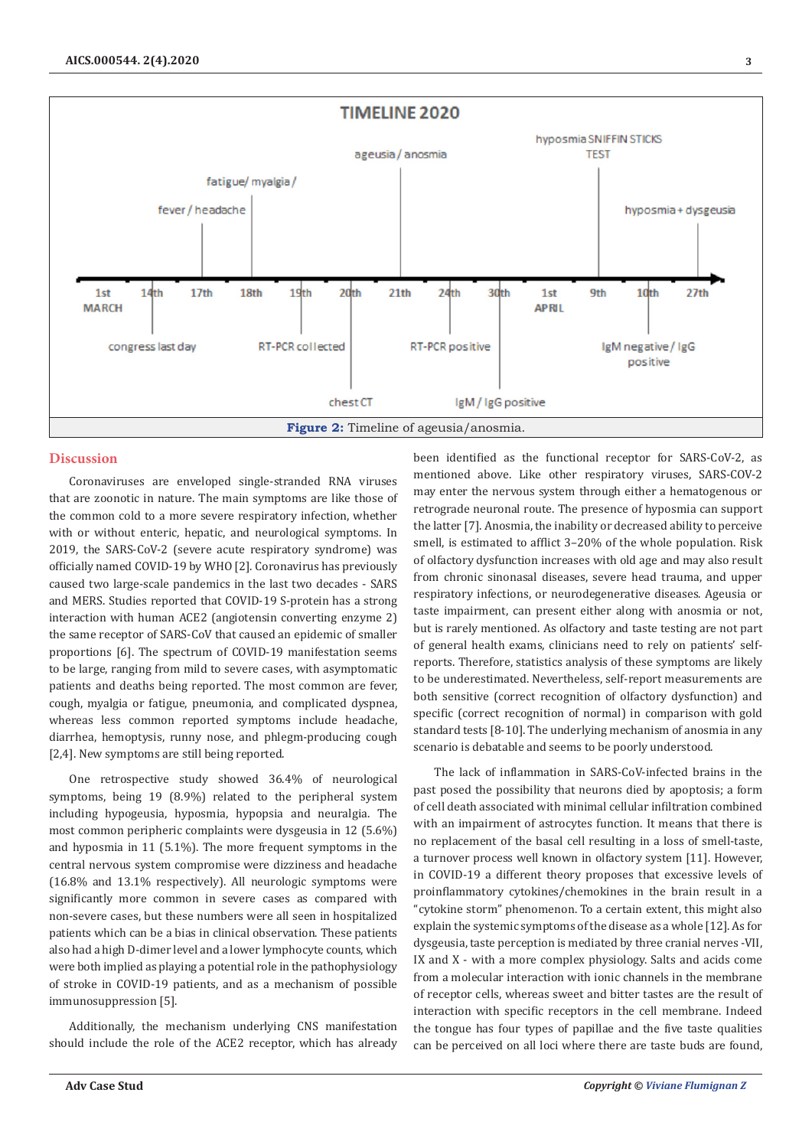

## **Discussion**

Coronaviruses are enveloped single-stranded RNA viruses that are zoonotic in nature. The main symptoms are like those of the common cold to a more severe respiratory infection, whether with or without enteric, hepatic, and neurological symptoms. In 2019, the SARS-CoV-2 (severe acute respiratory syndrome) was officially named COVID-19 by WHO [2]. Coronavirus has previously caused two large-scale pandemics in the last two decades - SARS and MERS. Studies reported that COVID-19 S-protein has a strong interaction with human ACE2 (angiotensin converting enzyme 2) the same receptor of SARS-CoV that caused an epidemic of smaller proportions [6]. The spectrum of COVID-19 manifestation seems to be large, ranging from mild to severe cases, with asymptomatic patients and deaths being reported. The most common are fever, cough, myalgia or fatigue, pneumonia, and complicated dyspnea, whereas less common reported symptoms include headache, diarrhea, hemoptysis, runny nose, and phlegm-producing cough [2,4]. New symptoms are still being reported.

One retrospective study showed 36.4% of neurological symptoms, being 19 (8.9%) related to the peripheral system including hypogeusia, hyposmia, hypopsia and neuralgia. The most common peripheric complaints were dysgeusia in 12 (5.6%) and hyposmia in 11 (5.1%). The more frequent symptoms in the central nervous system compromise were dizziness and headache (16.8% and 13.1% respectively). All neurologic symptoms were significantly more common in severe cases as compared with non-severe cases, but these numbers were all seen in hospitalized patients which can be a bias in clinical observation. These patients also had a high D-dimer level and a lower lymphocyte counts, which were both implied as playing a potential role in the pathophysiology of stroke in COVID-19 patients, and as a mechanism of possible immunosuppression [5].

Additionally, the mechanism underlying CNS manifestation should include the role of the ACE2 receptor, which has already been identified as the functional receptor for SARS-CoV-2, as mentioned above. Like other respiratory viruses, SARS-COV-2 may enter the nervous system through either a hematogenous or retrograde neuronal route. The presence of hyposmia can support the latter [7]. Anosmia, the inability or decreased ability to perceive smell, is estimated to afflict 3–20% of the whole population. Risk of olfactory dysfunction increases with old age and may also result from chronic sinonasal diseases, severe head trauma, and upper respiratory infections, or neurodegenerative diseases. Ageusia or taste impairment, can present either along with anosmia or not, but is rarely mentioned. As olfactory and taste testing are not part of general health exams, clinicians need to rely on patients' selfreports. Therefore, statistics analysis of these symptoms are likely to be underestimated. Nevertheless, self-report measurements are both sensitive (correct recognition of olfactory dysfunction) and specific (correct recognition of normal) in comparison with gold standard tests [8-10]. The underlying mechanism of anosmia in any scenario is debatable and seems to be poorly understood.

The lack of inflammation in SARS-CoV-infected brains in the past posed the possibility that neurons died by apoptosis; a form of cell death associated with minimal cellular infiltration combined with an impairment of astrocytes function. It means that there is no replacement of the basal cell resulting in a loss of smell-taste, a turnover process well known in olfactory system [11]. However, in COVID-19 a different theory proposes that excessive levels of proinflammatory cytokines/chemokines in the brain result in a "cytokine storm" phenomenon. To a certain extent, this might also explain the systemic symptoms of the disease as a whole [12]. As for dysgeusia, taste perception is mediated by three cranial nerves -VII, IX and X - with a more complex physiology. Salts and acids come from a molecular interaction with ionic channels in the membrane of receptor cells, whereas sweet and bitter tastes are the result of interaction with specific receptors in the cell membrane. Indeed the tongue has four types of papillae and the five taste qualities can be perceived on all loci where there are taste buds are found,